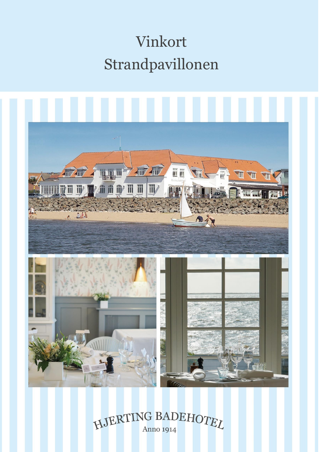# Vinkort Strandpavillonen



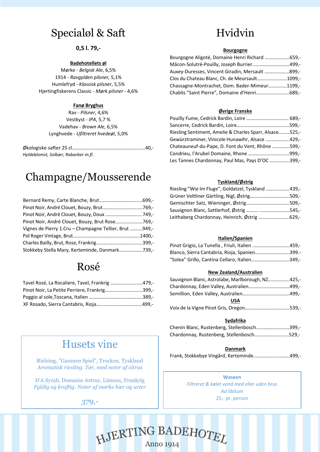# Specialøl & Saft

### **0,5 l. 79,-**

### **Badehotellets øl**

Mørke - *Belgisk Ale*, 6,5% 1914 - *Ravgylden pilsner,* 5,1% Humlefryd *- Klassisk pilsner*, 5,5% Hjertingfiskerens Classic - *Mørk pilsner* - 4,6%

### **Fanø Bryghus**

Rav - *Pilsner*, 4,6% Vestkyst - *IPA*, 5,7 % Vadehav - *Brown Ale*, 6,5% Lynghvede - *Ufiltreret hvedeøl*, 5,0%

Økologiske safter 25 cl….……………………………………………….40,- *Hyldeblomst, Solbær, Rabarber m.fl.*

# Champagne/Mousserende

| Pinot Noir, André Clouet, Bouzy, Doux  749,-           |  |
|--------------------------------------------------------|--|
| Pinot Noir, André Clouet, Bouzy, Brut Rose769,-        |  |
| Vignes de Pierry 1.Cru – Champagne Tellier, Brut 949,- |  |
|                                                        |  |
|                                                        |  |
| Stokkeby Stella Mary, Kerteminde, Danmark739,-         |  |

### Rosé

| Tavel Rosé, La Rocaliere, Tavel, Frankrig 479,- |  |
|-------------------------------------------------|--|
| Pinot Noir, La Petite Perriere, Frankrig399,-   |  |
|                                                 |  |
|                                                 |  |

# Husets vine

Rielsing, "Gaumen Spiel", Trocken, Tyskland *Aromatisk riesling. Tør, med noter af citrus*

D'A Syrah, Domaine Astruc, Limoux, Frankrig *Fyldig og kraftig. Noter af mørke bær og urter*

### *379,-*

# Hvidvin

#### **Bourgogne**

| Bourgogne Aligoté, Domaine Henri Richard 659,-  |  |
|-------------------------------------------------|--|
| Mâcon-Solutré-Pouilly, Joseph Burrier499,-      |  |
| Auxey-Duresses, Vincent Giradin, Mersault 899,- |  |
| Clos du Chateau Blanc, Ch. de Meursault1099,-   |  |
| Chassagne-Montrachet, Dom. Bader-Mimeur1199,-   |  |
| Chablis "Saint Pierre", Domaine d'Henri689,-    |  |

### **Øvrige Franske**

| Riesling Sentiment, Amelie & Charles Sparr, Alsace525,- |  |
|---------------------------------------------------------|--|
| Gewürztraminer, Vinicole Hunawihr, Alsace 429,-         |  |
| Chateauneuf-du-Pape, D. Font du Vent, Rhône 599,-       |  |
|                                                         |  |
| Les Tannes Chardonnay, Paul Mas, Pays D'OC 399,-        |  |

### **Tyskland/Østrig**

| Riesling "Wie Im Fluge", Goldatzel, Tyskland 439,- |  |
|----------------------------------------------------|--|
| Grüner Veltliner Gärtling, Nigl, Østrig509,-       |  |
|                                                    |  |
| Sauvignon Blanc, Sattlerhof, Østrig  545,-         |  |
| Leithaberg Chardonnay, Heinrich, Østrig 629,-      |  |

### **Italien/Spanien**

| Pinot Grigio, La Tunella, Friuli, Italien 459,- |  |
|-------------------------------------------------|--|
| Blanco, Sierra Cantabria, Rioja, Spanien399.-   |  |
| "Solea" Grillo, Cantina Cellaro, Italien349,-   |  |

### **New Zealand/Australien**

| Sauvignon Blanc, Astrolabe, Marlborough, NZ425,- |      |
|--------------------------------------------------|------|
|                                                  |      |
|                                                  |      |
| <b>USA</b>                                       |      |
| <i>Majuela la Viene</i> Dinat Cris, Orsean       | ran. |

### **Sydafrika**

| Chenin Blanc, Rustenberg, Stellenbosch399,- |  |
|---------------------------------------------|--|
| Chardonnay, Rustenberg, Stellenbosch529,-   |  |

### **Danmark**

Frank, Stokkebye Vingård, Kerteminde..………………..…….499,-

**Waseen** *Filtreret & kølet vand med eller uden brus Ad libitum* 25,- pr. person